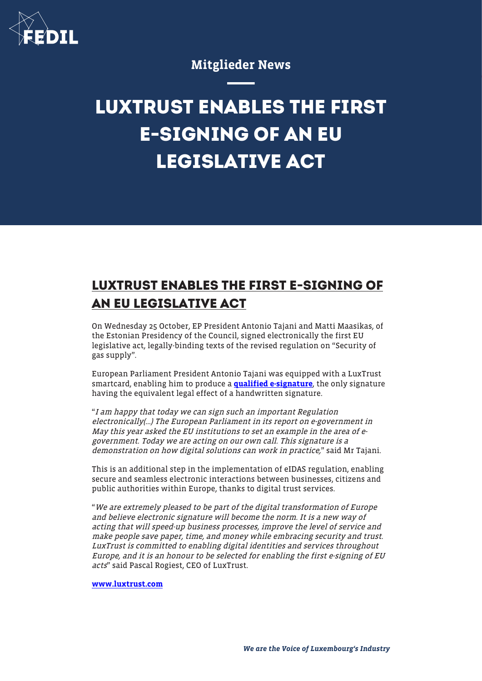

## Mitglieder News

## **LUXTRUST ENABLES THE FIRST E-SIGNING OF AN EU LEGISLATIVE ACT**

## **LUXTRUST ENABLES THE FIRST E-SIGNING OF AN EU LEGISLATIVE ACT**

On Wednesday 25 October, EP President Antonio Tajani and Matti Maasikas, of the Estonian Presidency of the Council, signed electronically the first EU legislative act, legally-binding texts of the revised regulation on "Security of gas supply".

European Parliament President Antonio Tajani was equipped with a LuxTrust smartcard, enabling him to produce a [qualified e-signature](https://www.luxtrust.com/trust-services/electronic-signature/), the only signature having the equivalent legal effect of a handwritten signature.

"I am happy that today we can sign such an important Regulation electronically(…) The European Parliament in its report on e-government in May this year asked the EU institutions to set an example in the area of egovernment. Today we are acting on our own call. This signature is a demonstration on how digital solutions can work in practice," said Mr Tajani.

This is an additional step in the implementation of eIDAS regulation, enabling secure and seamless electronic interactions between businesses, citizens and public authorities within Europe, thanks to digital trust services.

"We are extremely pleased to be part of the digital transformation of Europe and believe electronic signature will become the norm. It is a new way of acting that will speed-up business processes, improve the level of service and make people save paper, time, and money while embracing security and trust. LuxTrust is committed to enabling digital identities and services throughout Europe, and it is an honour to be selected for enabling the first e-signing of EU acts" said Pascal Rogiest, CEO of LuxTrust.

## [www.luxtrust.com](http://www.luxtrust.com)